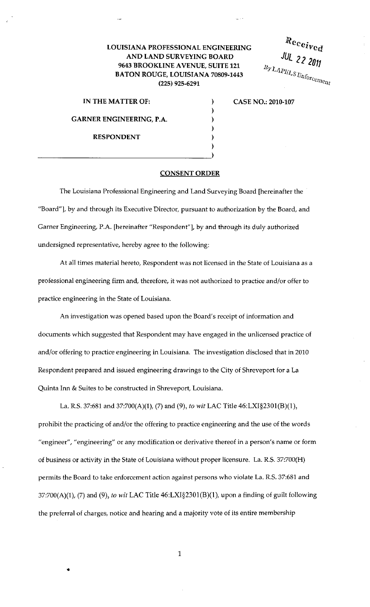## LOUISIANA PROFESSIONAL ENGINEERING AND LAND SURVEYING BOARD 9643 BROOKLINE AVENUE, SUITE 121 BATON ROUGE, LOUISIANA 70809-1443 (225) 925-6291

Received  $JUL$  22 2011  $B_{\text{y}}_{\text{LAP}}$   $\leq$   $\leq$  2011

IN THE MATTER OF: CASE NO.: 2010-107

GARNER ENGINEERING, P.A.

RESPONDENT

## CONSENT ORDER

 $\mathcal{E}$  $\lambda$ ì

The Louisiana Professional Engineering and Land Surveying Board [hereinafter the "Board"], by and through its Executive Director, pursuant to authorization by the Board, and Garner Engineering, P.A. [hereinafter "Respondent"], by and through its duly authorized undersigned representative, hereby agree to the following:

At all times material hereto, Respondent was not licensed in the State of Louisiana as a professional engineering firm and, therefore, it was not authorized to practice and/or offer to practice engineering in the State of Louisiana.

An investigation was opened based upon the Board's receipt of information and documents which suggested that Respondent may have engaged in the unlicensed practice of and/or offering to practice engineering in Louisiana. The investigation disclosed that in 2010 Respondent prepared and issued engineering drawings to the City of Shreveport for a La Quinta Inn & Suites to be constructed in Shreveport, Louisiana.

La. R.S. 37:681 and 37:700(A)(1), (7) and (9), *to wit* LAC Title 46:LXI§2301(B)(l), prohibit the practicing of and/or the offering to practice engineering and the use of the words "engineer", "engineering" or any modification or derivative thereof in a person's name or form of business or activity in the State of Louisiana without proper licensure. La. R.S. 37:700(H) permits the Board to take enforcement action against persons who violate La. R.S. 37:681 and 37:700(A)(1), (7) and (9), *to wit* LAC Title 46:LXI§2301(B)(l), upon a finding of guilt following the preferral of charges, notice and hearing and a majority vote of its entire membership

1

•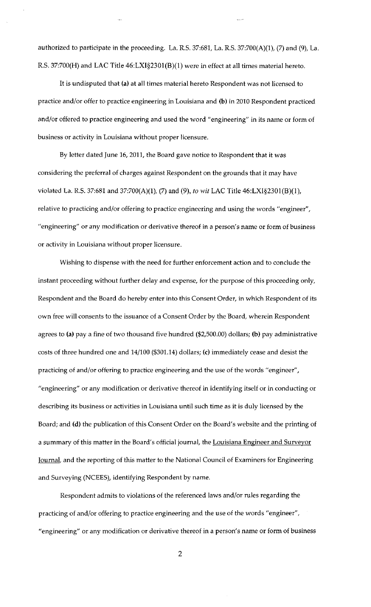authorized to participate in the proceeding. La. R.S. 37:681, La. R.S. 37:700(A)(1 }, (7) and (9), La. R.S. 37:700(H) and LAC Title 46:LXI§230l(B}(l} were in effect at all times material hereto.

It is undisputed that (a) at all times material hereto Respondent was not licensed to practice and/or offer to practice engineering in Louisiana and (b) in 2010 Respondent practiced and/or offered to practice engineering and used the word "engineering" in its name or form of business or activity in Louisiana without proper licensure.

By letter dated June 16, 2011, the Board gave notice to Respondent that it was considering the preferral of charges against Respondent on the grounds that it may have violated La. R.S. 37:681 and 37:700(A)(1), (7) and (9), *to* wit LAC Title 46:LXI§230l(B}(l), relative to practicing and/or offering to practice engineering and using the words "engineer", "engineering" or any modification or derivative thereof in a person's name or form of business or activity in Louisiana without proper licensure.

Wishing to dispense with the need for further enforcement action and to conclude the instant proceeding without further delay and expense, for the purpose of this proceeding only, Respondent and the Board do hereby enter into this Consent Order, in which Respondent of its own free will consents to the issuance of a Consent Order by the Board, wherein Respondent agrees to (a) pay a fine of two thousand five hundred (\$2,500.00) dollars; (b) pay administrative costs of three hundred one and 14/100 (\$301.14) dollars; (c) immediately cease and desist the practicing of and/or offering to practice engineering and the use of the words "engineer", "engineering" or any modification or derivative thereof in identifying itself or in conducting or describing its business or activities in Louisiana until such time as it is duly licensed by the Board; and (d) the publication of this Consent Order on the Board's website and the printing of a summary of this matter in the Board's official journal, the Louisiana Engineer and Surveyor Journal, and the reporting of this matter to the National Council of Examiners for Engineering and Surveying (NCEES}, identifying Respondent by name.

Respondent admits to violations of the referenced laws and/or rules regarding the practicing of and/or offering to practice engineering and the use of the words "engineer", "engineering" or any modification or derivative thereof in a person's name or form of business

2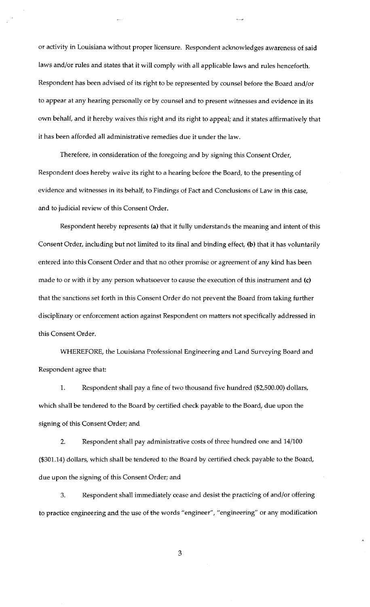or activity in Louisiana without proper licensure. Respondent acknowledges awareness of said laws and/or rules and states that it will comply with all applicable laws and rules henceforth. Respondent has been advised of its right to be represented by counsel before the Board and/or to appear at any hearing personally or by counsel and to present witnesses and evidence in its own behalf, and it hereby waives this right and its right to appeal; and it states affirmatively that it has been afforded all administrative remedies due it under the law.

Therefore, in consideration of the foregoing and by signing this Consent Order, Respondent does hereby waive its right to a hearing before the Board, to the presenting of evidence and witnesses in its behalf, to Findings of Fact and Conclusions of Law in this case, and to judicial review of this Consent Order.

Respondent hereby represents (a) that it fully understands the meaning and intent of this Consent Order, including but not limited to its final and binding effect, (b) that it has voluntarily entered into this Consent Order and that no other promise or agreement of any kind has been made to or with it by any person whatsoever to cause the execution of this instrument and (c) that the sanctions set forth in this Consent Order do not prevent the Board from taking further disciplinary or enforcement action against Respondent on matters not specifically addressed in this Consent Order.

WHEREFORE, the Louisiana Professional Engineering and Land Surveying Board and Respondent agree that:

1. Respondent shall pay a fine of two thousand five hundred (\$2,500.00) dollars, which shall be tendered to the Board by certified check payable to the Board, due upon the signing of this Consent Order; and

2. Respondent shall pay administrative costs of three hundred one and 14/100 (\$301.14) dollars, which shall be tendered to the Board by certified check payable to the Board, due upon the signing of this Consent Order; and

3. Respondent shall immediately cease and desist the practicing of and/or offering to practice engineering and the use of the words "engineer", "engineering" or any modification

3